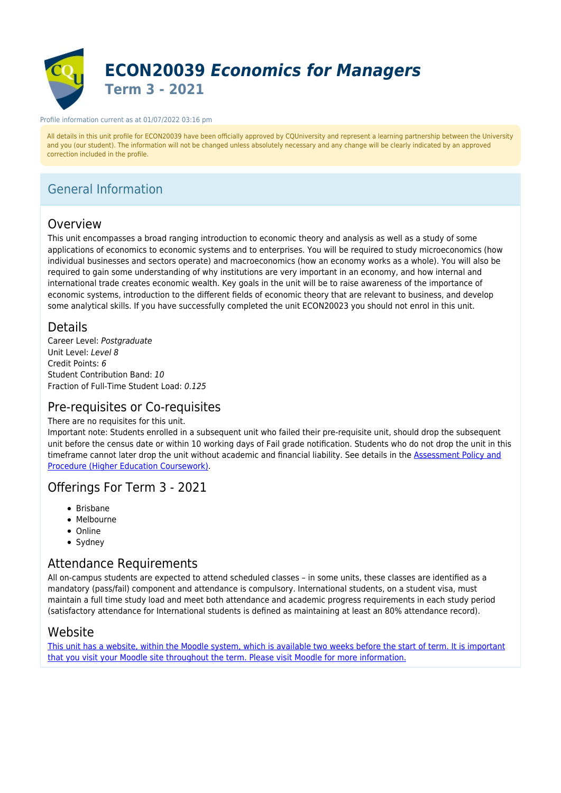

#### Profile information current as at 01/07/2022 03:16 pm

All details in this unit profile for ECON20039 have been officially approved by CQUniversity and represent a learning partnership between the University and you (our student). The information will not be changed unless absolutely necessary and any change will be clearly indicated by an approved correction included in the profile.

# General Information

# Overview

This unit encompasses a broad ranging introduction to economic theory and analysis as well as a study of some applications of economics to economic systems and to enterprises. You will be required to study microeconomics (how individual businesses and sectors operate) and macroeconomics (how an economy works as a whole). You will also be required to gain some understanding of why institutions are very important in an economy, and how internal and international trade creates economic wealth. Key goals in the unit will be to raise awareness of the importance of economic systems, introduction to the different fields of economic theory that are relevant to business, and develop some analytical skills. If you have successfully completed the unit ECON20023 you should not enrol in this unit.

## Details

Career Level: Postgraduate Unit Level: Level 8 Credit Points: 6 Student Contribution Band: 10 Fraction of Full-Time Student Load: 0.125

## Pre-requisites or Co-requisites

### There are no requisites for this unit.

Important note: Students enrolled in a subsequent unit who failed their pre-requisite unit, should drop the subsequent unit before the census date or within 10 working days of Fail grade notification. Students who do not drop the unit in this timeframe cannot later drop the unit without academic and financial liability. See details in the **Assessment Policy and** [Procedure \(Higher Education Coursework\)](https://www.cqu.edu.au/policy).

## Offerings For Term 3 - 2021

- Brisbane
- Melbourne
- Online
- Sydney

## Attendance Requirements

All on-campus students are expected to attend scheduled classes – in some units, these classes are identified as a mandatory (pass/fail) component and attendance is compulsory. International students, on a student visa, must maintain a full time study load and meet both attendance and academic progress requirements in each study period (satisfactory attendance for International students is defined as maintaining at least an 80% attendance record).

## Website

[This unit has a website, within the Moodle system, which is available two weeks before the start of term. It is important](https://moodle.cqu.edu.au) [that you visit your Moodle site throughout the term. Please visit Moodle for more information.](https://moodle.cqu.edu.au)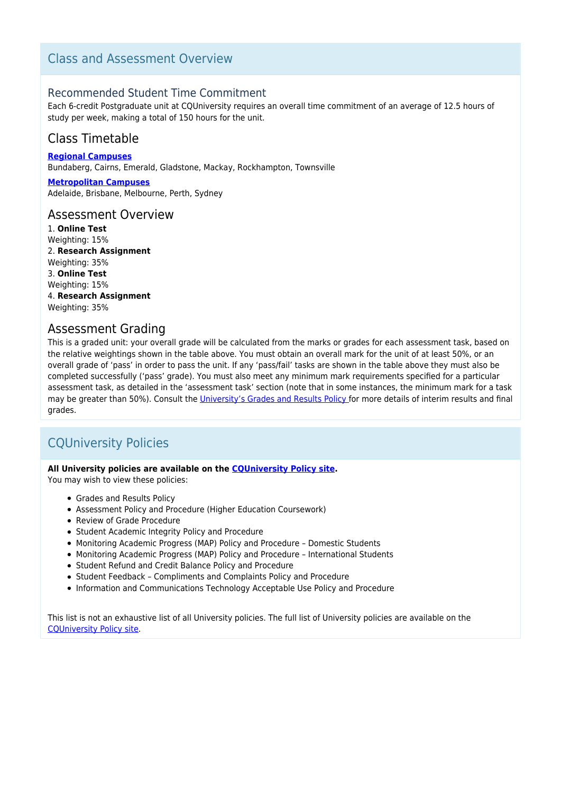# Class and Assessment Overview

### Recommended Student Time Commitment

Each 6-credit Postgraduate unit at CQUniversity requires an overall time commitment of an average of 12.5 hours of study per week, making a total of 150 hours for the unit.

## Class Timetable

**[Regional Campuses](https://handbook.cqu.edu.au/facet/timetables)** Bundaberg, Cairns, Emerald, Gladstone, Mackay, Rockhampton, Townsville

**[Metropolitan Campuses](https://handbook.cqu.edu.au/facet/timetables)** Adelaide, Brisbane, Melbourne, Perth, Sydney

### Assessment Overview

1. **Online Test** Weighting: 15% 2. **Research Assignment** Weighting: 35% 3. **Online Test** Weighting: 15% 4. **Research Assignment** Weighting: 35%

### Assessment Grading

This is a graded unit: your overall grade will be calculated from the marks or grades for each assessment task, based on the relative weightings shown in the table above. You must obtain an overall mark for the unit of at least 50%, or an overall grade of 'pass' in order to pass the unit. If any 'pass/fail' tasks are shown in the table above they must also be completed successfully ('pass' grade). You must also meet any minimum mark requirements specified for a particular assessment task, as detailed in the 'assessment task' section (note that in some instances, the minimum mark for a task may be greater than 50%). Consult the [University's Grades and Results Policy](https://www.cqu.edu.au/policy) for more details of interim results and final grades.

# CQUniversity Policies

### **All University policies are available on the [CQUniversity Policy site.](https://policy.cqu.edu.au/)**

You may wish to view these policies:

- Grades and Results Policy
- Assessment Policy and Procedure (Higher Education Coursework)
- Review of Grade Procedure
- Student Academic Integrity Policy and Procedure
- Monitoring Academic Progress (MAP) Policy and Procedure Domestic Students
- Monitoring Academic Progress (MAP) Policy and Procedure International Students
- Student Refund and Credit Balance Policy and Procedure
- Student Feedback Compliments and Complaints Policy and Procedure
- Information and Communications Technology Acceptable Use Policy and Procedure

This list is not an exhaustive list of all University policies. The full list of University policies are available on the [CQUniversity Policy site.](https://policy.cqu.edu.au/)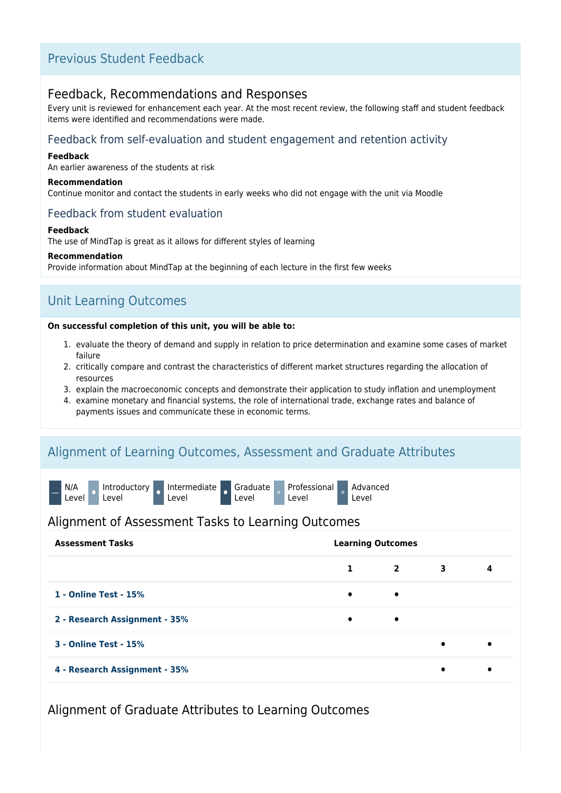# Previous Student Feedback

## Feedback, Recommendations and Responses

Every unit is reviewed for enhancement each year. At the most recent review, the following staff and student feedback items were identified and recommendations were made.

### Feedback from self-evaluation and student engagement and retention activity

### **Feedback**

An earlier awareness of the students at risk

#### **Recommendation**

Continue monitor and contact the students in early weeks who did not engage with the unit via Moodle

### Feedback from student evaluation

#### **Feedback**

The use of MindTap is great as it allows for different styles of learning

### **Recommendation**

Provide information about MindTap at the beginning of each lecture in the first few weeks

# Unit Learning Outcomes

### **On successful completion of this unit, you will be able to:**

- 1. evaluate the theory of demand and supply in relation to price determination and examine some cases of market failure
- 2. critically compare and contrast the characteristics of different market structures regarding the allocation of resources
- 3. explain the macroeconomic concepts and demonstrate their application to study inflation and unemployment
- 4. examine monetary and financial systems, the role of international trade, exchange rates and balance of payments issues and communicate these in economic terms.

# Alignment of Learning Outcomes, Assessment and Graduate Attributes



### Alignment of Assessment Tasks to Learning Outcomes

| <b>Assessment Tasks</b>       | <b>Learning Outcomes</b> |              |           |     |  |
|-------------------------------|--------------------------|--------------|-----------|-----|--|
|                               | 1                        | $\mathbf{2}$ | 3         | 4   |  |
| 1 - Online Test - 15%         | $\bullet$                | $\bullet$    |           |     |  |
| 2 - Research Assignment - 35% | $\bullet$                | ٠            |           |     |  |
| <b>3 - Online Test - 15%</b>  |                          |              | $\bullet$ |     |  |
| 4 - Research Assignment - 35% |                          |              | $\bullet$ | - 0 |  |

Alignment of Graduate Attributes to Learning Outcomes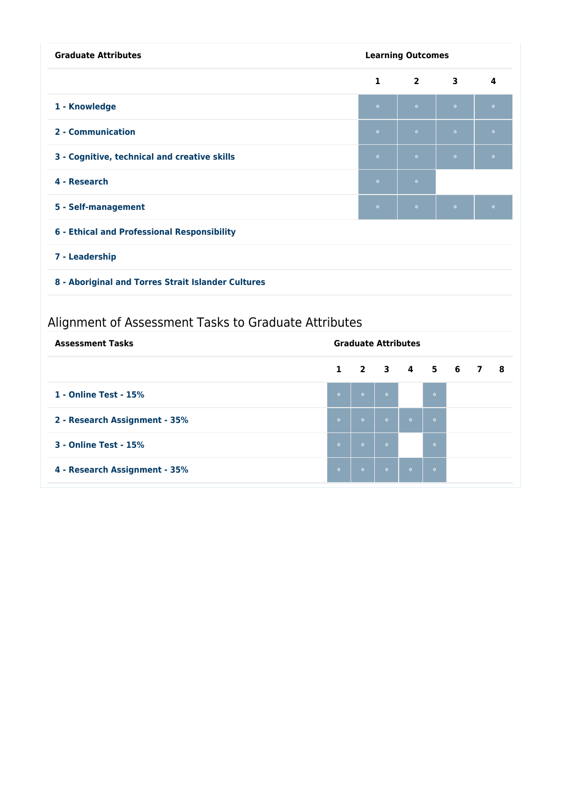| <b>Graduate Attributes</b>                           |              |                            | <b>Learning Outcomes</b> |                |           |           |                |           |
|------------------------------------------------------|--------------|----------------------------|--------------------------|----------------|-----------|-----------|----------------|-----------|
|                                                      |              |                            | 1                        | $\overline{2}$ |           | 3         |                | 4         |
| 1 - Knowledge                                        |              |                            | $\bullet$                | $\bullet$      |           | $\bullet$ |                | $\bullet$ |
| 2 - Communication                                    |              |                            | $\bullet$                | $\bullet$      |           | $\bullet$ |                | $\bullet$ |
| 3 - Cognitive, technical and creative skills         |              |                            | $\circ$                  | $\circ$        |           | $\bullet$ |                | $\bullet$ |
| 4 - Research                                         |              |                            | $\bullet$                | $\circ$        |           |           |                |           |
| 5 - Self-management                                  |              |                            | $\bullet$                | $\circ$        |           | $\circ$   |                | $\bullet$ |
| 6 - Ethical and Professional Responsibility          |              |                            |                          |                |           |           |                |           |
| 7 - Leadership                                       |              |                            |                          |                |           |           |                |           |
| 8 - Aboriginal and Torres Strait Islander Cultures   |              |                            |                          |                |           |           |                |           |
| Alignment of Assessment Tasks to Graduate Attributes |              |                            |                          |                |           |           |                |           |
| <b>Assessment Tasks</b>                              |              | <b>Graduate Attributes</b> |                          |                |           |           |                |           |
|                                                      | $\mathbf{1}$ | $\overline{2}$             | $\overline{\mathbf{3}}$  | $\mathbf{A}$   | 5         | 6         | $\overline{7}$ | 8         |
| 1 - Online Test - 15%                                | $\bullet$    | $\bullet$                  | $\bullet$                |                | $\bullet$ |           |                |           |
| 2 - Research Assignment - 35%                        | $\bullet$    | $\bullet$                  | $\bullet$                | $\bullet$      | $\bullet$ |           |                |           |

**3 - Online Test - 15%** ⚬ ⚬ ⚬ ⚬

**4 - Research Assignment - 35%** ⚬ ⚬ ⚬ ⚬ ⚬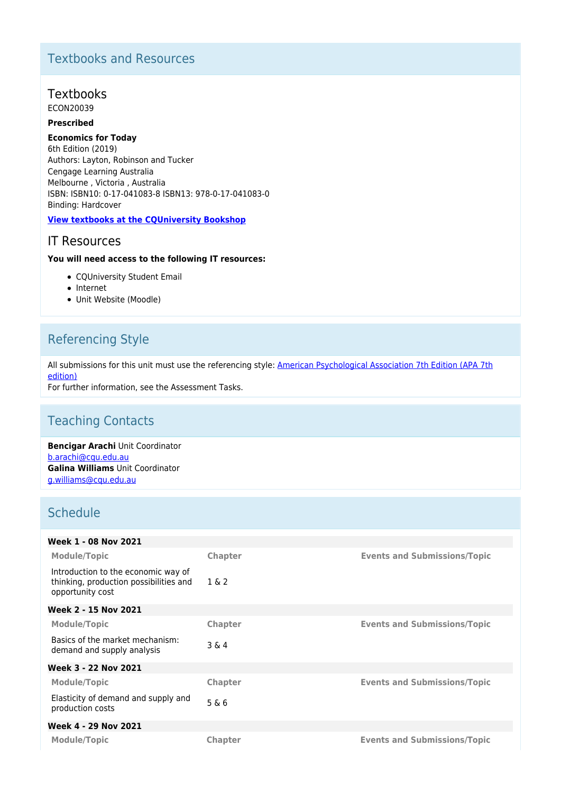# Textbooks and Resources

# Textbooks

ECON20039

### **Prescribed**

### **Economics for Today**

6th Edition (2019) Authors: Layton, Robinson and Tucker Cengage Learning Australia Melbourne , Victoria , Australia ISBN: ISBN10: 0-17-041083-8 ISBN13: 978-0-17-041083-0 Binding: Hardcover

### **[View textbooks at the CQUniversity Bookshop](https://bookshop.cqu.edu.au/)**

## IT Resources

### **You will need access to the following IT resources:**

- CQUniversity Student Email
- Internet
- Unit Website (Moodle)

# Referencing Style

All submissions for this unit must use the referencing style: [American Psychological Association 7th Edition \(APA 7th](https://delivery-cqucontenthub.stylelabs.cloud/api/public/content/apa-referencing-style.pdf?v=51e1aea7) [edition\)](https://delivery-cqucontenthub.stylelabs.cloud/api/public/content/apa-referencing-style.pdf?v=51e1aea7)

For further information, see the Assessment Tasks.

# Teaching Contacts

**Bencigar Arachi** Unit Coordinator [b.arachi@cqu.edu.au](mailto:b.arachi@cqu.edu.au) **Galina Williams** Unit Coordinator [g.williams@cqu.edu.au](mailto:g.williams@cqu.edu.au)

# **Schedule**

| Week 1 - 08 Nov 2021                                                                              |                |                                     |
|---------------------------------------------------------------------------------------------------|----------------|-------------------------------------|
| <b>Module/Topic</b>                                                                               | <b>Chapter</b> | <b>Events and Submissions/Topic</b> |
| Introduction to the economic way of<br>thinking, production possibilities and<br>opportunity cost | 1 & 2          |                                     |
| Week 2 - 15 Nov 2021                                                                              |                |                                     |
| <b>Module/Topic</b>                                                                               | Chapter        | <b>Events and Submissions/Topic</b> |
| Basics of the market mechanism:<br>demand and supply analysis                                     | $3\&4$         |                                     |
| Week 3 - 22 Nov 2021                                                                              |                |                                     |
| <b>Module/Topic</b>                                                                               | <b>Chapter</b> | <b>Events and Submissions/Topic</b> |
| Elasticity of demand and supply and<br>production costs                                           | 5 & 6          |                                     |
| Week 4 - 29 Nov 2021                                                                              |                |                                     |
| Module/Topic                                                                                      | Chapter        | <b>Events and Submissions/Topic</b> |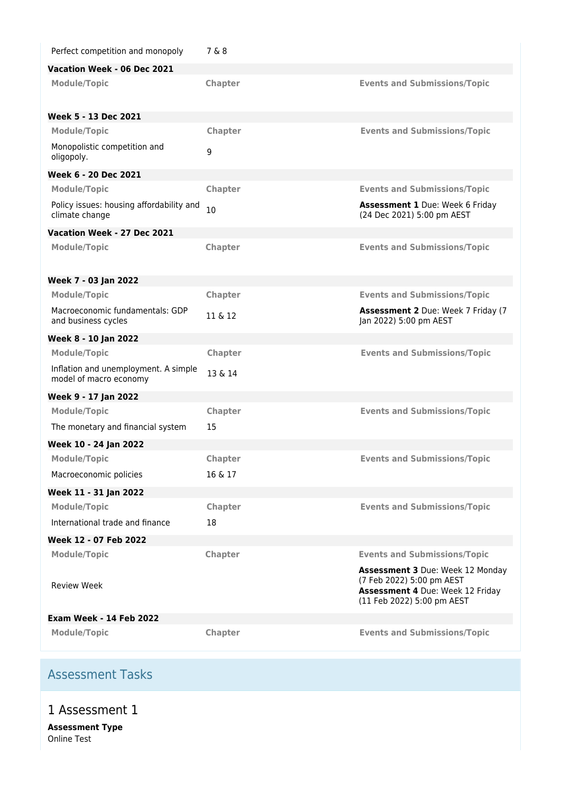| Vacation Week - 06 Dec 2021<br>Chapter<br><b>Events and Submissions/Topic</b><br><b>Module/Topic</b><br>Week 5 - 13 Dec 2021<br><b>Module/Topic</b><br>Chapter<br><b>Events and Submissions/Topic</b><br>Monopolistic competition and<br>9<br>oligopoly.<br>Week 6 - 20 Dec 2021<br>Chapter<br><b>Events and Submissions/Topic</b><br><b>Module/Topic</b><br>Policy issues: housing affordability and<br><b>Assessment 1 Due: Week 6 Friday</b><br>10<br>climate change<br>(24 Dec 2021) 5:00 pm AEST |  |
|-------------------------------------------------------------------------------------------------------------------------------------------------------------------------------------------------------------------------------------------------------------------------------------------------------------------------------------------------------------------------------------------------------------------------------------------------------------------------------------------------------|--|
|                                                                                                                                                                                                                                                                                                                                                                                                                                                                                                       |  |
|                                                                                                                                                                                                                                                                                                                                                                                                                                                                                                       |  |
|                                                                                                                                                                                                                                                                                                                                                                                                                                                                                                       |  |
|                                                                                                                                                                                                                                                                                                                                                                                                                                                                                                       |  |
|                                                                                                                                                                                                                                                                                                                                                                                                                                                                                                       |  |
|                                                                                                                                                                                                                                                                                                                                                                                                                                                                                                       |  |
|                                                                                                                                                                                                                                                                                                                                                                                                                                                                                                       |  |
|                                                                                                                                                                                                                                                                                                                                                                                                                                                                                                       |  |
| Vacation Week - 27 Dec 2021                                                                                                                                                                                                                                                                                                                                                                                                                                                                           |  |
| Chapter<br><b>Events and Submissions/Topic</b><br><b>Module/Topic</b>                                                                                                                                                                                                                                                                                                                                                                                                                                 |  |
| Week 7 - 03 Jan 2022                                                                                                                                                                                                                                                                                                                                                                                                                                                                                  |  |
| <b>Module/Topic</b><br>Chapter<br><b>Events and Submissions/Topic</b>                                                                                                                                                                                                                                                                                                                                                                                                                                 |  |
| Macroeconomic fundamentals: GDP<br><b>Assessment 2 Due: Week 7 Friday (7</b><br>11 & 12<br>and business cycles<br>Jan 2022) 5:00 pm AEST                                                                                                                                                                                                                                                                                                                                                              |  |
| Week 8 - 10 Jan 2022                                                                                                                                                                                                                                                                                                                                                                                                                                                                                  |  |
| <b>Events and Submissions/Topic</b><br><b>Module/Topic</b><br><b>Chapter</b>                                                                                                                                                                                                                                                                                                                                                                                                                          |  |
| Inflation and unemployment. A simple<br>13 & 14<br>model of macro economy                                                                                                                                                                                                                                                                                                                                                                                                                             |  |
| Week 9 - 17 Jan 2022                                                                                                                                                                                                                                                                                                                                                                                                                                                                                  |  |
| <b>Module/Topic</b><br>Chapter<br><b>Events and Submissions/Topic</b>                                                                                                                                                                                                                                                                                                                                                                                                                                 |  |
| 15<br>The monetary and financial system                                                                                                                                                                                                                                                                                                                                                                                                                                                               |  |
| Week 10 - 24 Jan 2022                                                                                                                                                                                                                                                                                                                                                                                                                                                                                 |  |
| <b>Module/Topic</b><br><b>Chapter</b><br><b>Events and Submissions/Topic</b>                                                                                                                                                                                                                                                                                                                                                                                                                          |  |
| Macroeconomic policies<br>16 & 17                                                                                                                                                                                                                                                                                                                                                                                                                                                                     |  |
| Week 11 - 31 Jan 2022                                                                                                                                                                                                                                                                                                                                                                                                                                                                                 |  |
| <b>Module/Topic</b><br>Chapter<br><b>Events and Submissions/Topic</b>                                                                                                                                                                                                                                                                                                                                                                                                                                 |  |
| International trade and finance<br>18                                                                                                                                                                                                                                                                                                                                                                                                                                                                 |  |
| Week 12 - 07 Feb 2022                                                                                                                                                                                                                                                                                                                                                                                                                                                                                 |  |
| <b>Module/Topic</b><br>Chapter<br><b>Events and Submissions/Topic</b>                                                                                                                                                                                                                                                                                                                                                                                                                                 |  |
| <b>Assessment 3 Due: Week 12 Monday</b><br>(7 Feb 2022) 5:00 pm AEST<br><b>Review Week</b><br>Assessment 4 Due: Week 12 Friday<br>(11 Feb 2022) 5:00 pm AEST                                                                                                                                                                                                                                                                                                                                          |  |
| <b>Exam Week - 14 Feb 2022</b>                                                                                                                                                                                                                                                                                                                                                                                                                                                                        |  |
| Chapter<br><b>Events and Submissions/Topic</b><br><b>Module/Topic</b>                                                                                                                                                                                                                                                                                                                                                                                                                                 |  |

# Assessment Tasks

1 Assessment 1

**Assessment Type** Online Test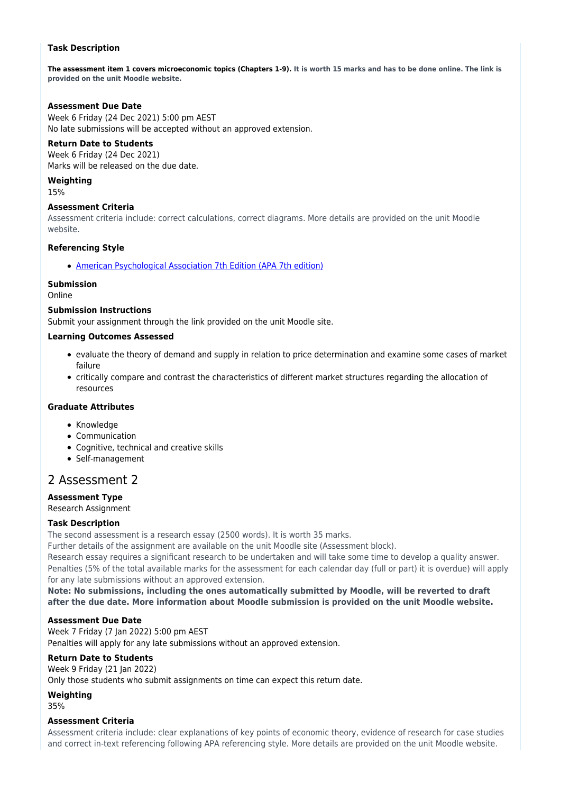### **Task Description**

**The assessment item 1 covers microeconomic topics (Chapters 1-9). It is worth 15 marks and has to be done online. The link is provided on the unit Moodle website.**

### **Assessment Due Date**

Week 6 Friday (24 Dec 2021) 5:00 pm AEST No late submissions will be accepted without an approved extension.

### **Return Date to Students**

Week 6 Friday (24 Dec 2021) Marks will be released on the due date.

## **Weighting**

15%

### **Assessment Criteria**

Assessment criteria include: correct calculations, correct diagrams. More details are provided on the unit Moodle website.

### **Referencing Style**

[American Psychological Association 7th Edition \(APA 7th edition\)](https://delivery-cqucontenthub.stylelabs.cloud/api/public/content/apa-referencing-style.pdf?v=51e1aea7)

### **Submission**

Online

### **Submission Instructions**

Submit your assignment through the link provided on the unit Moodle site.

### **Learning Outcomes Assessed**

- evaluate the theory of demand and supply in relation to price determination and examine some cases of market failure
- critically compare and contrast the characteristics of different market structures regarding the allocation of resources

### **Graduate Attributes**

- Knowledge
- Communication
- Cognitive, technical and creative skills
- Self-management

## 2 Assessment 2

## **Assessment Type**

Research Assignment

### **Task Description**

The second assessment is a research essay (2500 words). It is worth 35 marks.

Further details of the assignment are available on the unit Moodle site (Assessment block).

Research essay requires a significant research to be undertaken and will take some time to develop a quality answer. Penalties (5% of the total available marks for the assessment for each calendar day (full or part) it is overdue) will apply for any late submissions without an approved extension.

**Note: No submissions, including the ones automatically submitted by Moodle, will be reverted to draft after the due date. More information about Moodle submission is provided on the unit Moodle website.**

### **Assessment Due Date**

Week 7 Friday (7 Jan 2022) 5:00 pm AEST Penalties will apply for any late submissions without an approved extension.

### **Return Date to Students**

Week 9 Friday (21 Jan 2022)

Only those students who submit assignments on time can expect this return date.

**Weighting**

35%

### **Assessment Criteria**

Assessment criteria include: clear explanations of key points of economic theory, evidence of research for case studies and correct in-text referencing following APA referencing style. More details are provided on the unit Moodle website.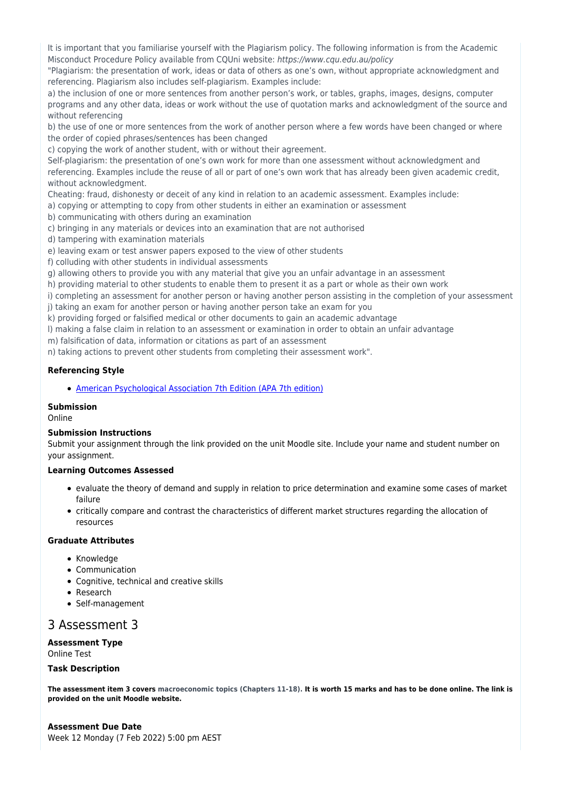It is important that you familiarise yourself with the Plagiarism policy. The following information is from the Academic Misconduct Procedure Policy available from CQUni website: https://www.cqu.edu.au/policy

"Plagiarism: the presentation of work, ideas or data of others as one's own, without appropriate acknowledgment and referencing. Plagiarism also includes self-plagiarism. Examples include:

a) the inclusion of one or more sentences from another person's work, or tables, graphs, images, designs, computer programs and any other data, ideas or work without the use of quotation marks and acknowledgment of the source and without referencing

b) the use of one or more sentences from the work of another person where a few words have been changed or where the order of copied phrases/sentences has been changed

c) copying the work of another student, with or without their agreement.

Self-plagiarism: the presentation of one's own work for more than one assessment without acknowledgment and referencing. Examples include the reuse of all or part of one's own work that has already been given academic credit, without acknowledgment.

Cheating: fraud, dishonesty or deceit of any kind in relation to an academic assessment. Examples include:

a) copying or attempting to copy from other students in either an examination or assessment

b) communicating with others during an examination

c) bringing in any materials or devices into an examination that are not authorised

d) tampering with examination materials

e) leaving exam or test answer papers exposed to the view of other students

f) colluding with other students in individual assessments

g) allowing others to provide you with any material that give you an unfair advantage in an assessment

h) providing material to other students to enable them to present it as a part or whole as their own work

i) completing an assessment for another person or having another person assisting in the completion of your assessment j) taking an exam for another person or having another person take an exam for you

k) providing forged or falsified medical or other documents to gain an academic advantage

l) making a false claim in relation to an assessment or examination in order to obtain an unfair advantage

m) falsification of data, information or citations as part of an assessment

n) taking actions to prevent other students from completing their assessment work".

### **Referencing Style**

[American Psychological Association 7th Edition \(APA 7th edition\)](https://delivery-cqucontenthub.stylelabs.cloud/api/public/content/apa-referencing-style.pdf?v=51e1aea7)

### **Submission**

Online

### **Submission Instructions**

Submit your assignment through the link provided on the unit Moodle site. Include your name and student number on your assignment.

### **Learning Outcomes Assessed**

- evaluate the theory of demand and supply in relation to price determination and examine some cases of market failure
- critically compare and contrast the characteristics of different market structures regarding the allocation of resources

### **Graduate Attributes**

- Knowledge
- Communication
- Cognitive, technical and creative skills
- Research
- Self-management

## 3 Assessment 3

### **Assessment Type**

Online Test

#### **Task Description**

**The assessment item 3 covers macroeconomic topics (Chapters 11-18). It is worth 15 marks and has to be done online. The link is provided on the unit Moodle website.**

**Assessment Due Date** Week 12 Monday (7 Feb 2022) 5:00 pm AEST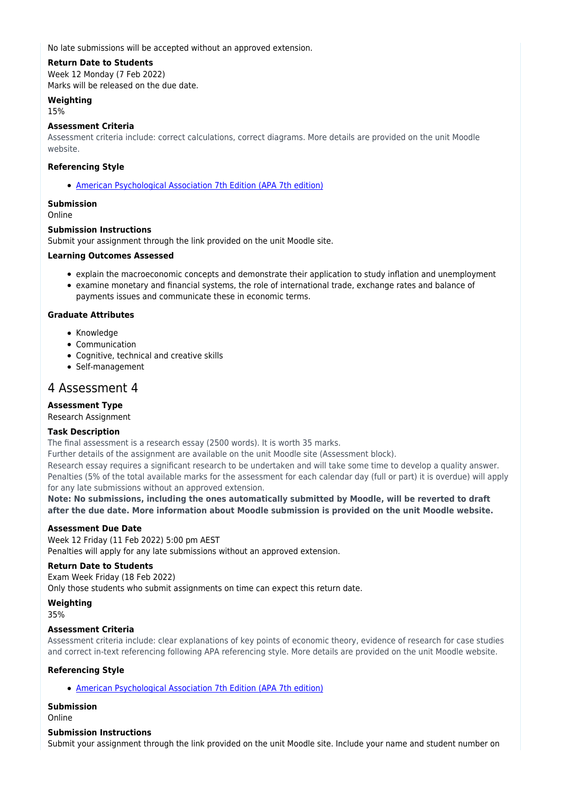No late submissions will be accepted without an approved extension.

### **Return Date to Students**

Week 12 Monday (7 Feb 2022) Marks will be released on the due date.

### **Weighting**

15%

### **Assessment Criteria**

Assessment criteria include: correct calculations, correct diagrams. More details are provided on the unit Moodle website.

### **Referencing Style**

[American Psychological Association 7th Edition \(APA 7th edition\)](https://delivery-cqucontenthub.stylelabs.cloud/api/public/content/apa-referencing-style.pdf?v=51e1aea7)

### **Submission**

Online

### **Submission Instructions**

Submit your assignment through the link provided on the unit Moodle site.

### **Learning Outcomes Assessed**

- explain the macroeconomic concepts and demonstrate their application to study inflation and unemployment
- examine monetary and financial systems, the role of international trade, exchange rates and balance of payments issues and communicate these in economic terms.

### **Graduate Attributes**

- Knowledge
- Communication
- Cognitive, technical and creative skills
- Self-management

## 4 Assessment 4

### **Assessment Type**

Research Assignment

### **Task Description**

The final assessment is a research essay (2500 words). It is worth 35 marks.

Further details of the assignment are available on the unit Moodle site (Assessment block).

Research essay requires a significant research to be undertaken and will take some time to develop a quality answer. Penalties (5% of the total available marks for the assessment for each calendar day (full or part) it is overdue) will apply for any late submissions without an approved extension.

**Note: No submissions, including the ones automatically submitted by Moodle, will be reverted to draft after the due date. More information about Moodle submission is provided on the unit Moodle website.**

### **Assessment Due Date**

Week 12 Friday (11 Feb 2022) 5:00 pm AEST Penalties will apply for any late submissions without an approved extension.

### **Return Date to Students**

Exam Week Friday (18 Feb 2022) Only those students who submit assignments on time can expect this return date.

### **Weighting**

35%

### **Assessment Criteria**

Assessment criteria include: clear explanations of key points of economic theory, evidence of research for case studies and correct in-text referencing following APA referencing style. More details are provided on the unit Moodle website.

### **Referencing Style**

[American Psychological Association 7th Edition \(APA 7th edition\)](https://delivery-cqucontenthub.stylelabs.cloud/api/public/content/apa-referencing-style.pdf?v=51e1aea7)

### **Submission**

Online

### **Submission Instructions**

Submit your assignment through the link provided on the unit Moodle site. Include your name and student number on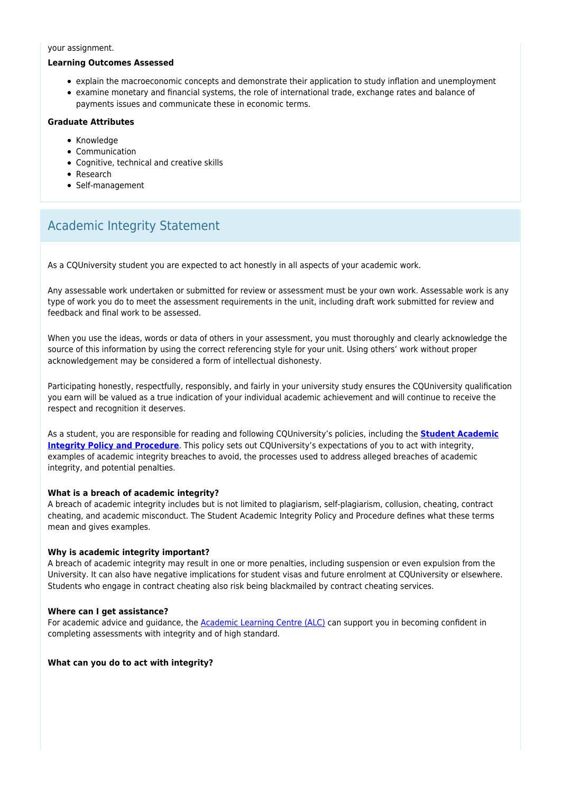#### your assignment.

#### **Learning Outcomes Assessed**

- explain the macroeconomic concepts and demonstrate their application to study inflation and unemployment
- examine monetary and financial systems, the role of international trade, exchange rates and balance of payments issues and communicate these in economic terms.

### **Graduate Attributes**

- Knowledge
- Communication
- Cognitive, technical and creative skills
- Research
- Self-management

# Academic Integrity Statement

As a CQUniversity student you are expected to act honestly in all aspects of your academic work.

Any assessable work undertaken or submitted for review or assessment must be your own work. Assessable work is any type of work you do to meet the assessment requirements in the unit, including draft work submitted for review and feedback and final work to be assessed.

When you use the ideas, words or data of others in your assessment, you must thoroughly and clearly acknowledge the source of this information by using the correct referencing style for your unit. Using others' work without proper acknowledgement may be considered a form of intellectual dishonesty.

Participating honestly, respectfully, responsibly, and fairly in your university study ensures the CQUniversity qualification you earn will be valued as a true indication of your individual academic achievement and will continue to receive the respect and recognition it deserves.

As a student, you are responsible for reading and following CQUniversity's policies, including the **[Student Academic](https://www.cqu.edu.au/policy/sharepoint-document-download?file_uri={BE8380F3-F86D-4C55-AC0D-84A81EAFD6A2}/Student%20Academic%20Integrity%20Policy%20and%20Procedure%20(formerly%20known%20as%20the%20Academic%20Misconduct%20Procedure).pdf) [Integrity Policy and Procedure](https://www.cqu.edu.au/policy/sharepoint-document-download?file_uri={BE8380F3-F86D-4C55-AC0D-84A81EAFD6A2}/Student%20Academic%20Integrity%20Policy%20and%20Procedure%20(formerly%20known%20as%20the%20Academic%20Misconduct%20Procedure).pdf)**. This policy sets out CQUniversity's expectations of you to act with integrity, examples of academic integrity breaches to avoid, the processes used to address alleged breaches of academic integrity, and potential penalties.

### **What is a breach of academic integrity?**

A breach of academic integrity includes but is not limited to plagiarism, self-plagiarism, collusion, cheating, contract cheating, and academic misconduct. The Student Academic Integrity Policy and Procedure defines what these terms mean and gives examples.

### **Why is academic integrity important?**

A breach of academic integrity may result in one or more penalties, including suspension or even expulsion from the University. It can also have negative implications for student visas and future enrolment at CQUniversity or elsewhere. Students who engage in contract cheating also risk being blackmailed by contract cheating services.

### **Where can I get assistance?**

For academic advice and guidance, the [Academic Learning Centre \(ALC\)](https://www.cqu.edu.au/student-life/academic-learning-centre) can support you in becoming confident in completing assessments with integrity and of high standard.

### **What can you do to act with integrity?**